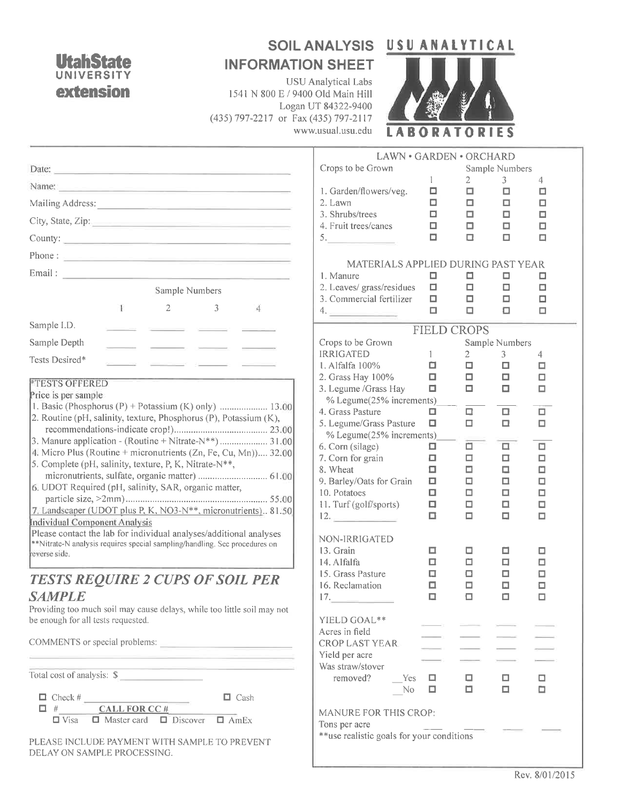## **UtahSta** A **UNIVERS** extension

## SOIL ANALYSIS USU ANALYTICAL **INFORMATION SHEET**

**USU** Analytical Labs 1541 N 800 E / 9400 Old Main Hill Logan UT 84322-9400 (435) 797-2217 or Fax (435) 797-2117 www.usual.usu.edu



|                                                                                                                                                                                                                                | LAWN · GARDEN · ORCHARD                         |                        |                            |                 |             |  |
|--------------------------------------------------------------------------------------------------------------------------------------------------------------------------------------------------------------------------------|-------------------------------------------------|------------------------|----------------------------|-----------------|-------------|--|
| Date:<br><u> Andreas Andrewski (b. 1989)</u>                                                                                                                                                                                   | Crops to be Grown                               |                        |                            | Sample Numbers  |             |  |
| Name: Name: Name: Name: Name: Name: Name: Name: Name: Name: Name: Name: Name: Name: Name: Name: Name: Name: Name: Name: Name: Name: Name: Name: Name: Name: Name: Name: Name: Name: Name: Name: Name: Name: Name: Name: Name:  | 1. Garden/flowers/veg.                          | $\mathbf{1}$<br>$\Box$ | $\mathbf{2}^{\prime}$<br>□ | 3<br>$\Box$     | 4<br>□      |  |
|                                                                                                                                                                                                                                | 2. Lawn                                         | □                      | □                          | □               | о           |  |
| City, State, Zip: 2008. Experience of the State of Table 2008. The State of Table 2008. The State of Table 2008. The State of Table 2008. The State of Table 2008. The State of Table 2008. The State of Table 2008. The State | 3. Shrubs/trees                                 | $\Box$                 | □                          | □               | $\Box$      |  |
|                                                                                                                                                                                                                                | 4. Fruit trees/canes<br>5.                      | о<br>$\Box$            | □<br>□                     | □<br>□          | □<br>$\Box$ |  |
| Phone: $\frac{1}{2}$                                                                                                                                                                                                           |                                                 |                        |                            |                 |             |  |
|                                                                                                                                                                                                                                | MATERIALS APPLIED DURING PAST YEAR<br>1. Manure |                        |                            |                 |             |  |
| Sample Numbers                                                                                                                                                                                                                 | 2. Leaves/grass/residues                        | □<br>$\Box$            | □<br>$\Box$                | □<br>$\Box$     | □<br>$\Box$ |  |
|                                                                                                                                                                                                                                | 3. Commercial fertilizer                        | $\Box$                 | П                          | $\Box$          | $\Box$      |  |
| Ŧ.<br>2<br>3<br>$\overline{4}$                                                                                                                                                                                                 | 4.                                              | $\Box$                 | $\Box$                     | o               | $\Box$      |  |
| Sample I.D.<br>the company's company's                                                                                                                                                                                         |                                                 | <b>FIELD CROPS</b>     |                            |                 |             |  |
| Sample Depth<br>and the contract of the contract of the contract of                                                                                                                                                            | Crops to be Grown                               |                        |                            | Sample Numbers  |             |  |
| Tests Desired*                                                                                                                                                                                                                 | <b>IRRIGATED</b><br>1. Alfalfa 100%             | $\mathbf{1}$<br>□      | $\mathbf{2}$<br>$\Box$     | 3<br>□          | 4<br>□      |  |
|                                                                                                                                                                                                                                | 2. Grass Hay 100%                               | $\Box$                 | $\Box$                     | □               | $\Box$      |  |
| <b><i>ETESTS OFFERED</i></b><br>Price is per sample                                                                                                                                                                            | 3. Legume / Grass Hay                           | $\Box$                 | о                          |                 | о           |  |
| 1. Basic (Phosphorus (P) + Potassium (K) only)  13.00                                                                                                                                                                          | % Legume(25% increments)<br>4. Grass Pasture    | □                      | □                          | $\Box$          | П           |  |
| 2. Routine (pH, salinity, texture, Phosphorus (P), Potassium (K),                                                                                                                                                              | 5. Legume/Grass Pasture                         | $\Box$                 | □                          | $\Box$          | $\Box$      |  |
|                                                                                                                                                                                                                                | % Legume(25% increments)                        |                        |                            |                 |             |  |
| 4. Micro Plus (Routine + micronutrients (Zn, Fe, Cu, Mn)) 32.00                                                                                                                                                                | 6. Corn (silage)                                |                        | ▫                          | П.              | $\Box$      |  |
| 5. Complete (pH, salinity, texture, P, K, Nitrate-N**,                                                                                                                                                                         | 7. Corn for grain<br>8. Wheat                   | Д<br>$\Box$            | □<br>□                     | □<br>□          | □<br>$\Box$ |  |
|                                                                                                                                                                                                                                | 9. Barley/Oats for Grain                        | П                      | □                          | □               | □           |  |
| 6. UDOT Required (pH, salinity, SAR, organic matter,                                                                                                                                                                           | 10. Potatoes                                    | $\Box$                 |                            | □               | □           |  |
| 7. Landscaper (UDOT plus P, K, NO3-N**, micronutrients) 81.50                                                                                                                                                                  | 11. Turf (golf/sports)                          | П                      |                            | □               | □           |  |
| Individual Component Analysis                                                                                                                                                                                                  | 12.                                             | $\Box$                 | о                          | □               | □           |  |
| Please contact the lab for individual analyses/additional analyses<br>**Nitrate-N analysis requires special sampling/handling. See procedures on                                                                               | NON-IRRIGATED                                   |                        |                            |                 |             |  |
| reverse side.                                                                                                                                                                                                                  | 13. Grain                                       |                        |                            | □               | □           |  |
|                                                                                                                                                                                                                                | 14. Alfalfa                                     | □                      | □                          | 口               | □           |  |
| <b>TESTS REQUIRE 2 CUPS OF SOIL PER</b>                                                                                                                                                                                        | 15. Grass Pasture<br>16. Reclamation            | α<br>α                 | α<br>□                     | □<br>口          | □<br>□      |  |
| <b>SAMPLE</b>                                                                                                                                                                                                                  | 17.                                             | $\Box$                 | α                          | α               | □           |  |
| Providing too much soil may cause delays, while too little soil may not                                                                                                                                                        |                                                 |                        |                            |                 |             |  |
| be enough for all tests requested.                                                                                                                                                                                             | YIELD GOAL**<br>Acres in field                  |                        |                            |                 |             |  |
|                                                                                                                                                                                                                                | <b>CROP LAST YEAR</b>                           |                        |                            |                 |             |  |
| <u> 1989 - Andrea Stadt Britain, amerikan bestean ing disebut bestean ing disebut bestean ing disebut bestean ing</u>                                                                                                          | Yield per acre                                  |                        |                            |                 |             |  |
| <u> 1990 - Andrea Stadt British (b. 1980)</u><br>Total cost of analysis: \$                                                                                                                                                    | Was straw/stover                                |                        |                            |                 |             |  |
|                                                                                                                                                                                                                                | removed?<br>Yes<br>No                           | $\Box$<br>$\Box$       | о<br>口                     | o,<br>$\square$ | $\Box$      |  |
| $\Box$ Check #<br>$\Box$ Cash                                                                                                                                                                                                  |                                                 |                        |                            |                 |             |  |
| <b>CALL FOR CC#</b><br>$\Box$ #<br>$\Box$ Master card $\Box$ Discover $\Box$ AmEx<br>$\Box$ Visa                                                                                                                               | MANURE FOR THIS CROP:                           |                        |                            |                 |             |  |
|                                                                                                                                                                                                                                | Tons per acre                                   |                        |                            |                 |             |  |
| PLEASE INCLUDE PAYMENT WITH SAMPLE TO PREVENT<br>DELAY ON SAMPLE PROCESSING.                                                                                                                                                   | **use realistic goals for your conditions       |                        |                            |                 |             |  |